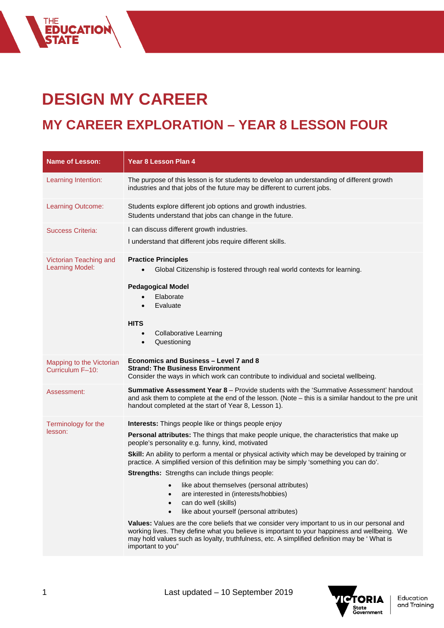## **DESIGN MY CAREER**

THE<br>**EDUCATION<br>STATE** 

## **MY CAREER EXPLORATION – YEAR 8 LESSON FOUR**

| <b>Name of Lesson:</b>                           | Year 8 Lesson Plan 4                                                                                                                                                                                                                                                                                              |
|--------------------------------------------------|-------------------------------------------------------------------------------------------------------------------------------------------------------------------------------------------------------------------------------------------------------------------------------------------------------------------|
| Learning Intention:                              | The purpose of this lesson is for students to develop an understanding of different growth<br>industries and that jobs of the future may be different to current jobs.                                                                                                                                            |
| Learning Outcome:                                | Students explore different job options and growth industries.<br>Students understand that jobs can change in the future.                                                                                                                                                                                          |
| Success Criteria:                                | I can discuss different growth industries.<br>I understand that different jobs require different skills.                                                                                                                                                                                                          |
| Victorian Teaching and<br><b>Learning Model:</b> | <b>Practice Principles</b><br>Global Citizenship is fostered through real world contexts for learning.<br><b>Pedagogical Model</b><br>Elaborate<br>Evaluate<br><b>HITS</b><br><b>Collaborative Learning</b><br>Questioning<br>$\bullet$                                                                           |
| Mapping to the Victorian<br>Curriculum F-10:     | Economics and Business - Level 7 and 8<br><b>Strand: The Business Environment</b><br>Consider the ways in which work can contribute to individual and societal wellbeing.                                                                                                                                         |
| Assessment:                                      | <b>Summative Assessment Year 8</b> - Provide students with the 'Summative Assessment' handout<br>and ask them to complete at the end of the lesson. (Note - this is a similar handout to the pre unit<br>handout completed at the start of Year 8, Lesson 1).                                                     |
| Terminology for the                              | <b>Interests:</b> Things people like or things people enjoy                                                                                                                                                                                                                                                       |
| lesson:                                          | Personal attributes: The things that make people unique, the characteristics that make up<br>people's personality e.g. funny, kind, motivated                                                                                                                                                                     |
|                                                  | Skill: An ability to perform a mental or physical activity which may be developed by training or<br>practice. A simplified version of this definition may be simply 'something you can do'.                                                                                                                       |
|                                                  | Strengths: Strengths can include things people:                                                                                                                                                                                                                                                                   |
|                                                  | • like about themselves (personal attributes)<br>are interested in (interests/hobbies)<br>can do well (skills)<br>like about yourself (personal attributes)                                                                                                                                                       |
|                                                  | Values: Values are the core beliefs that we consider very important to us in our personal and<br>working lives. They define what you believe is important to your happiness and wellbeing. We<br>may hold values such as loyalty, truthfulness, etc. A simplified definition may be 'What is<br>important to you" |

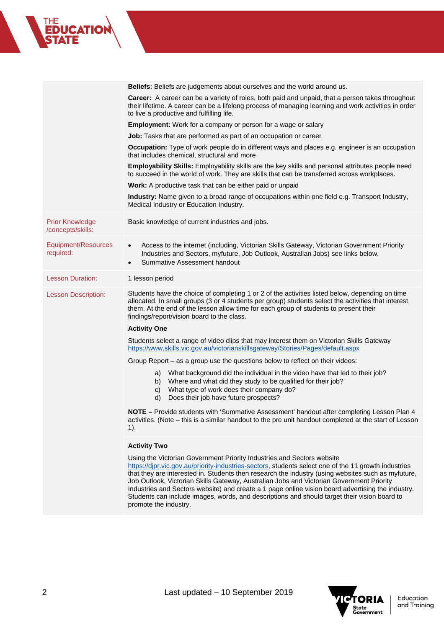|                                             | <b>Beliefs:</b> Beliefs are judgements about ourselves and the world around us.                                                                                                                                                                                                                                                                                                                                                                                                       |
|---------------------------------------------|---------------------------------------------------------------------------------------------------------------------------------------------------------------------------------------------------------------------------------------------------------------------------------------------------------------------------------------------------------------------------------------------------------------------------------------------------------------------------------------|
|                                             | Career: A career can be a variety of roles, both paid and unpaid, that a person takes throughout<br>their lifetime. A career can be a lifelong process of managing learning and work activities in order<br>to live a productive and fulfilling life.                                                                                                                                                                                                                                 |
|                                             | <b>Employment:</b> Work for a company or person for a wage or salary                                                                                                                                                                                                                                                                                                                                                                                                                  |
|                                             | <b>Job:</b> Tasks that are performed as part of an occupation or career                                                                                                                                                                                                                                                                                                                                                                                                               |
|                                             | Occupation: Type of work people do in different ways and places e.g. engineer is an occupation<br>that includes chemical, structural and more                                                                                                                                                                                                                                                                                                                                         |
|                                             | Employability Skills: Employability skills are the key skills and personal attributes people need<br>to succeed in the world of work. They are skills that can be transferred across workplaces.                                                                                                                                                                                                                                                                                      |
|                                             | Work: A productive task that can be either paid or unpaid                                                                                                                                                                                                                                                                                                                                                                                                                             |
|                                             | Industry: Name given to a broad range of occupations within one field e.g. Transport Industry,<br>Medical Industry or Education Industry.                                                                                                                                                                                                                                                                                                                                             |
| <b>Prior Knowledge</b><br>/concepts/skills: | Basic knowledge of current industries and jobs.                                                                                                                                                                                                                                                                                                                                                                                                                                       |
| Equipment/Resources<br>required:            | Access to the internet (including, Victorian Skills Gateway, Victorian Government Priority<br>$\bullet$<br>Industries and Sectors, myfuture, Job Outlook, Australian Jobs) see links below.<br>Summative Assessment handout<br>$\bullet$                                                                                                                                                                                                                                              |
| <b>Lesson Duration:</b>                     | 1 lesson period                                                                                                                                                                                                                                                                                                                                                                                                                                                                       |
| <b>Lesson Description:</b>                  | Students have the choice of completing 1 or 2 of the activities listed below, depending on time<br>allocated. In small groups (3 or 4 students per group) students select the activities that interest<br>them. At the end of the lesson allow time for each group of students to present their<br>findings/report/vision board to the class.                                                                                                                                         |
|                                             | <b>Activity One</b>                                                                                                                                                                                                                                                                                                                                                                                                                                                                   |
|                                             | Students select a range of video clips that may interest them on Victorian Skills Gateway<br>https://www.skills.vic.gov.au/victorianskillsgateway/Stories/Pages/default.aspx                                                                                                                                                                                                                                                                                                          |
|                                             | Group Report – as a group use the questions below to reflect on their videos:                                                                                                                                                                                                                                                                                                                                                                                                         |
|                                             | a) What background did the individual in the video have that led to their job?<br>b) Where and what did they study to be qualified for their job?<br>What type of work does their company do?<br>C)<br>Does their job have future prospects?<br>d)                                                                                                                                                                                                                                    |
|                                             | NOTE – Provide students with 'Summative Assessment' handout after completing Lesson Plan 4<br>activities. (Note - this is a similar handout to the pre unit handout completed at the start of Lesson<br>1).                                                                                                                                                                                                                                                                           |
|                                             | <b>Activity Two</b>                                                                                                                                                                                                                                                                                                                                                                                                                                                                   |
|                                             | Using the Victorian Government Priority Industries and Sectors website<br>https://djpr.vic.gov.au/priority-industries-sectors, students select one of the 11 growth industries<br>that they are interested in. Students then research the industry (using websites such as myfuture,<br>Job Outlook, Victorian Skills Gateway, Australian Jobs and Victorian Government Priority<br>Industries and Sectors website) and create a 1 page online vision board advertising the industry. |



promote the industry.

Students can include images, words, and descriptions and should target their vision board to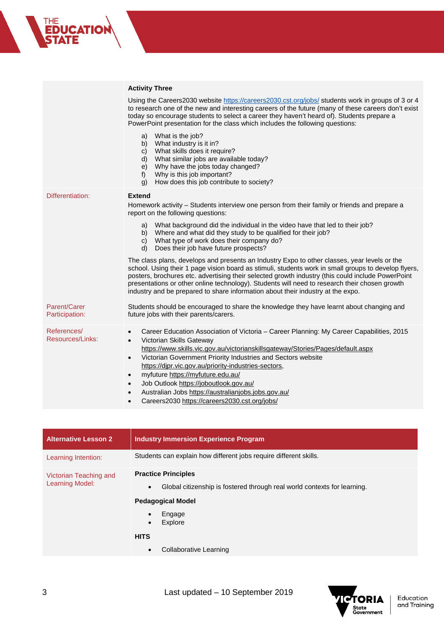|                                 | <b>Activity Three</b>                                                                                                                                                                                                                                                                                                                                                                                                                                                                                                                                                                                             |
|---------------------------------|-------------------------------------------------------------------------------------------------------------------------------------------------------------------------------------------------------------------------------------------------------------------------------------------------------------------------------------------------------------------------------------------------------------------------------------------------------------------------------------------------------------------------------------------------------------------------------------------------------------------|
|                                 | Using the Careers2030 website https://careers2030.cst.org/jobs/ students work in groups of 3 or 4<br>to research one of the new and interesting careers of the future (many of these careers don't exist<br>today so encourage students to select a career they haven't heard of). Students prepare a<br>PowerPoint presentation for the class which includes the following questions:                                                                                                                                                                                                                            |
|                                 | What is the job?<br>a)<br>What industry is it in?<br>b)<br>What skills does it require?<br>C)<br>What similar jobs are available today?<br>$\mathsf{d}$<br>Why have the jobs today changed?<br>e)<br>Why is this job important?<br>$f$ )<br>How does this job contribute to society?<br>g)                                                                                                                                                                                                                                                                                                                        |
| Differentiation:                | <b>Extend</b><br>Homework activity - Students interview one person from their family or friends and prepare a<br>report on the following questions:                                                                                                                                                                                                                                                                                                                                                                                                                                                               |
|                                 | What background did the individual in the video have that led to their job?<br>a)<br>Where and what did they study to be qualified for their job?<br>b)<br>What type of work does their company do?<br>$\mathsf{C}$<br>Does their job have future prospects?<br>d)                                                                                                                                                                                                                                                                                                                                                |
|                                 | The class plans, develops and presents an Industry Expo to other classes, year levels or the<br>school. Using their 1 page vision board as stimuli, students work in small groups to develop flyers,<br>posters, brochures etc. advertising their selected growth industry (this could include PowerPoint<br>presentations or other online technology). Students will need to research their chosen growth<br>industry and be prepared to share information about their industry at the expo.                                                                                                                     |
| Parent/Carer<br>Participation:  | Students should be encouraged to share the knowledge they have learnt about changing and<br>future jobs with their parents/carers.                                                                                                                                                                                                                                                                                                                                                                                                                                                                                |
| References/<br>Resources/Links: | Career Education Association of Victoria - Career Planning: My Career Capabilities, 2015<br>$\bullet$<br>Victorian Skills Gateway<br>$\bullet$<br>https://www.skills.vic.gov.au/victorianskillsgateway/Stories/Pages/default.aspx<br>Victorian Government Priority Industries and Sectors website<br>$\bullet$<br>https://djpr.vic.gov.au/priority-industries-sectors,<br>myfuture https://myfuture.edu.au/<br>$\bullet$<br>Job Outlook https://joboutlook.gov.au/<br>$\bullet$<br>Australian Jobs https://australianjobs.jobs.gov.au/<br>$\bullet$<br>Careers2030 https://careers2030.cst.org/jobs/<br>$\bullet$ |

| <b>Alternative Lesson 2</b>                      | <b>Industry Immersion Experience Program</b>                                                                                                                                                                                            |
|--------------------------------------------------|-----------------------------------------------------------------------------------------------------------------------------------------------------------------------------------------------------------------------------------------|
| Learning Intention:                              | Students can explain how different jobs require different skills.                                                                                                                                                                       |
| Victorian Teaching and<br><b>Learning Model:</b> | <b>Practice Principles</b><br>Global citizenship is fostered through real world contexts for learning.<br>$\bullet$<br><b>Pedagogical Model</b><br>Engage<br>Explore<br>$\bullet$<br><b>HITS</b><br>Collaborative Learning<br>$\bullet$ |
|                                                  |                                                                                                                                                                                                                                         |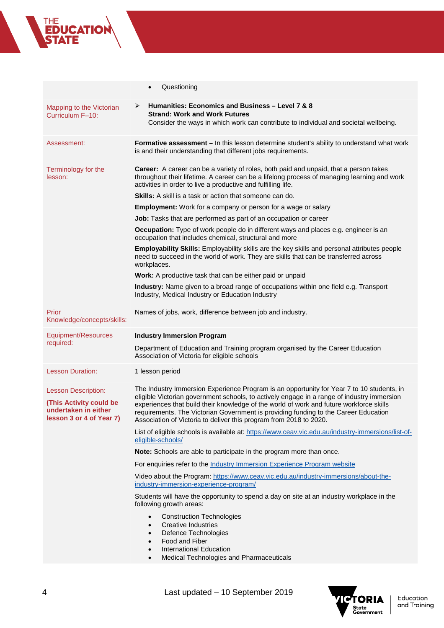## THE<br>**EDUCATION**<br>STATE

|                                                                                                           | Questioning<br>$\bullet$                                                                                                                                                                                                                                                                                                                                                                                                                        |
|-----------------------------------------------------------------------------------------------------------|-------------------------------------------------------------------------------------------------------------------------------------------------------------------------------------------------------------------------------------------------------------------------------------------------------------------------------------------------------------------------------------------------------------------------------------------------|
| Mapping to the Victorian<br>Curriculum F-10:                                                              | ➤<br>Humanities: Economics and Business - Level 7 & 8<br><b>Strand: Work and Work Futures</b><br>Consider the ways in which work can contribute to individual and societal wellbeing.                                                                                                                                                                                                                                                           |
| Assessment:                                                                                               | Formative assessment - In this lesson determine student's ability to understand what work<br>is and their understanding that different jobs requirements.                                                                                                                                                                                                                                                                                       |
| Terminology for the<br>lesson:                                                                            | Career: A career can be a variety of roles, both paid and unpaid, that a person takes<br>throughout their lifetime. A career can be a lifelong process of managing learning and work<br>activities in order to live a productive and fulfilling life.                                                                                                                                                                                           |
|                                                                                                           | <b>Skills:</b> A skill is a task or action that someone can do.                                                                                                                                                                                                                                                                                                                                                                                 |
|                                                                                                           | <b>Employment:</b> Work for a company or person for a wage or salary                                                                                                                                                                                                                                                                                                                                                                            |
|                                                                                                           | Job: Tasks that are performed as part of an occupation or career                                                                                                                                                                                                                                                                                                                                                                                |
|                                                                                                           | Occupation: Type of work people do in different ways and places e.g. engineer is an<br>occupation that includes chemical, structural and more                                                                                                                                                                                                                                                                                                   |
|                                                                                                           | Employability Skills: Employability skills are the key skills and personal attributes people<br>need to succeed in the world of work. They are skills that can be transferred across<br>workplaces.                                                                                                                                                                                                                                             |
|                                                                                                           | Work: A productive task that can be either paid or unpaid                                                                                                                                                                                                                                                                                                                                                                                       |
|                                                                                                           | Industry: Name given to a broad range of occupations within one field e.g. Transport<br>Industry, Medical Industry or Education Industry                                                                                                                                                                                                                                                                                                        |
| Prior<br>Knowledge/concepts/skills:                                                                       | Names of jobs, work, difference between job and industry.                                                                                                                                                                                                                                                                                                                                                                                       |
| Equipment/Resources                                                                                       | <b>Industry Immersion Program</b>                                                                                                                                                                                                                                                                                                                                                                                                               |
| required:                                                                                                 | Department of Education and Training program organised by the Career Education<br>Association of Victoria for eligible schools                                                                                                                                                                                                                                                                                                                  |
| <b>Lesson Duration:</b>                                                                                   | 1 lesson period                                                                                                                                                                                                                                                                                                                                                                                                                                 |
| <b>Lesson Description:</b><br>(This Activity could be<br>undertaken in either<br>lesson 3 or 4 of Year 7) | The Industry Immersion Experience Program is an opportunity for Year 7 to 10 students, in<br>eligible Victorian government schools, to actively engage in a range of industry immersion<br>experiences that build their knowledge of the world of work and future workforce skills<br>requirements. The Victorian Government is providing funding to the Career Education<br>Association of Victoria to deliver this program from 2018 to 2020. |
|                                                                                                           | List of eligible schools is available at: https://www.ceav.vic.edu.au/industry-immersions/list-of-<br>eligible-schools/                                                                                                                                                                                                                                                                                                                         |
|                                                                                                           | Note: Schools are able to participate in the program more than once.                                                                                                                                                                                                                                                                                                                                                                            |
|                                                                                                           | For enquiries refer to the Industry Immersion Experience Program website                                                                                                                                                                                                                                                                                                                                                                        |
|                                                                                                           | Video about the Program: https://www.ceav.vic.edu.au/industry-immersions/about-the-<br>industry-immersion-experience-program/                                                                                                                                                                                                                                                                                                                   |
|                                                                                                           | Students will have the opportunity to spend a day on site at an industry workplace in the<br>following growth areas:                                                                                                                                                                                                                                                                                                                            |
|                                                                                                           | <b>Construction Technologies</b><br>$\bullet$<br>Creative Industries<br>$\bullet$<br>Defence Technologies<br>$\bullet$<br>Food and Fiber<br>$\bullet$<br><b>International Education</b><br>$\bullet$<br>Medical Technologies and Pharmaceuticals                                                                                                                                                                                                |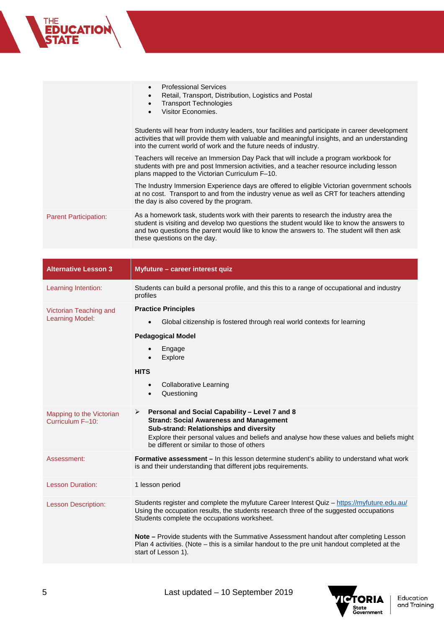|                              | <b>Professional Services</b><br>Retail, Transport, Distribution, Logistics and Postal<br><b>Transport Technologies</b><br>Visitor Economies.                                                                                                                                                                      |
|------------------------------|-------------------------------------------------------------------------------------------------------------------------------------------------------------------------------------------------------------------------------------------------------------------------------------------------------------------|
|                              | Students will hear from industry leaders, tour facilities and participate in career development<br>activities that will provide them with valuable and meaningful insights, and an understanding<br>into the current world of work and the future needs of industry.                                              |
|                              | Teachers will receive an Immersion Day Pack that will include a program workbook for<br>students with pre and post Immersion activities, and a teacher resource including lesson<br>plans mapped to the Victorian Curriculum F-10.                                                                                |
|                              | The Industry Immersion Experience days are offered to eligible Victorian government schools<br>at no cost. Transport to and from the industry venue as well as CRT for teachers attending<br>the day is also covered by the program.                                                                              |
| <b>Parent Participation:</b> | As a homework task, students work with their parents to research the industry area the<br>student is visiting and develop two questions the student would like to know the answers to<br>and two questions the parent would like to know the answers to. The student will then ask<br>these questions on the day. |

| <b>Alternative Lesson 3</b>                      | Myfuture - career interest quiz                                                                                                                                                                                                                                                                                                                                                                                                                               |
|--------------------------------------------------|---------------------------------------------------------------------------------------------------------------------------------------------------------------------------------------------------------------------------------------------------------------------------------------------------------------------------------------------------------------------------------------------------------------------------------------------------------------|
| Learning Intention:                              | Students can build a personal profile, and this this to a range of occupational and industry<br>profiles                                                                                                                                                                                                                                                                                                                                                      |
| Victorian Teaching and<br><b>Learning Model:</b> | <b>Practice Principles</b><br>Global citizenship is fostered through real world contexts for learning<br>$\bullet$<br><b>Pedagogical Model</b><br>Engage<br>$\bullet$<br>Explore<br>$\bullet$<br><b>HITS</b><br><b>Collaborative Learning</b><br>$\bullet$<br>Questioning<br>$\bullet$                                                                                                                                                                        |
| Mapping to the Victorian<br>Curriculum F-10:     | Personal and Social Capability - Level 7 and 8<br>➤<br><b>Strand: Social Awareness and Management</b><br>Sub-strand: Relationships and diversity<br>Explore their personal values and beliefs and analyse how these values and beliefs might<br>be different or similar to those of others                                                                                                                                                                    |
| Assessment:                                      | <b>Formative assessment - In this lesson determine student's ability to understand what work</b><br>is and their understanding that different jobs requirements.                                                                                                                                                                                                                                                                                              |
| <b>Lesson Duration:</b>                          | 1 lesson period                                                                                                                                                                                                                                                                                                                                                                                                                                               |
| <b>Lesson Description:</b>                       | Students register and complete the myfuture Career Interest Quiz - https://myfuture.edu.au/<br>Using the occupation results, the students research three of the suggested occupations<br>Students complete the occupations worksheet.<br><b>Note –</b> Provide students with the Summative Assessment handout after completing Lesson<br>Plan 4 activities. (Note – this is a similar handout to the pre unit handout completed at the<br>start of Lesson 1). |



THE<br>**EDUCATION**<br>STATE